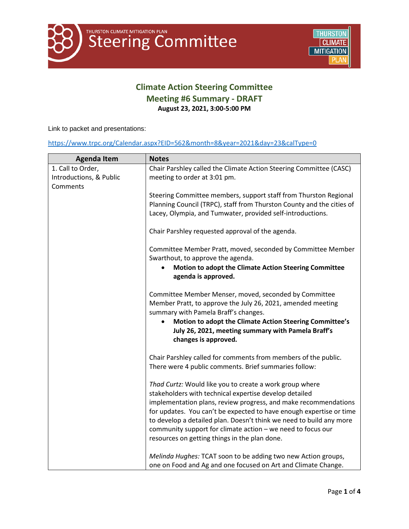

## **Climate Action Steering Committee Meeting #6 Summary - DRAFT August 23, 2021, 3:00-5:00 PM**

Link to packet and presentations:

## <https://www.trpc.org/Calendar.aspx?EID=562&month=8&year=2021&day=23&calType=0>

| <b>Agenda Item</b>      | <b>Notes</b>                                                                                                                                       |
|-------------------------|----------------------------------------------------------------------------------------------------------------------------------------------------|
| 1. Call to Order,       | Chair Parshley called the Climate Action Steering Committee (CASC)                                                                                 |
| Introductions, & Public | meeting to order at 3:01 pm.                                                                                                                       |
| Comments                |                                                                                                                                                    |
|                         | Steering Committee members, support staff from Thurston Regional<br>Planning Council (TRPC), staff from Thurston County and the cities of          |
|                         | Lacey, Olympia, and Tumwater, provided self-introductions.                                                                                         |
|                         |                                                                                                                                                    |
|                         | Chair Parshley requested approval of the agenda.                                                                                                   |
|                         | Committee Member Pratt, moved, seconded by Committee Member                                                                                        |
|                         | Swarthout, to approve the agenda.                                                                                                                  |
|                         | Motion to adopt the Climate Action Steering Committee<br>agenda is approved.                                                                       |
|                         | Committee Member Menser, moved, seconded by Committee                                                                                              |
|                         | Member Pratt, to approve the July 26, 2021, amended meeting                                                                                        |
|                         | summary with Pamela Braff's changes.                                                                                                               |
|                         | Motion to adopt the Climate Action Steering Committee's<br>$\bullet$<br>July 26, 2021, meeting summary with Pamela Braff's<br>changes is approved. |
|                         | Chair Parshley called for comments from members of the public.                                                                                     |
|                         | There were 4 public comments. Brief summaries follow:                                                                                              |
|                         | Thad Curtz: Would like you to create a work group where                                                                                            |
|                         | stakeholders with technical expertise develop detailed                                                                                             |
|                         | implementation plans, review progress, and make recommendations                                                                                    |
|                         | for updates. You can't be expected to have enough expertise or time                                                                                |
|                         | to develop a detailed plan. Doesn't think we need to build any more                                                                                |
|                         | community support for climate action - we need to focus our                                                                                        |
|                         | resources on getting things in the plan done.                                                                                                      |
|                         | Melinda Hughes: TCAT soon to be adding two new Action groups,                                                                                      |
|                         | one on Food and Ag and one focused on Art and Climate Change.                                                                                      |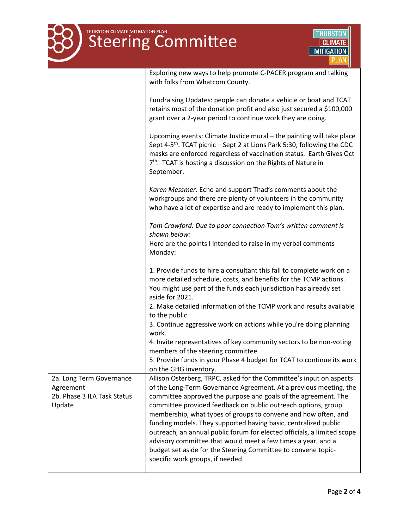| THURSTON CLIMATE MITIGATION PLAN<br><b>Steering Committee</b><br>CLIMATE<br><b>MITIGATION</b> |                                                                                                                                                                                                                                                                                                                                                                                                                                                                                                                                                                                                                                                                  |  |
|-----------------------------------------------------------------------------------------------|------------------------------------------------------------------------------------------------------------------------------------------------------------------------------------------------------------------------------------------------------------------------------------------------------------------------------------------------------------------------------------------------------------------------------------------------------------------------------------------------------------------------------------------------------------------------------------------------------------------------------------------------------------------|--|
|                                                                                               | Exploring new ways to help promote C-PACER program and talking<br>with folks from Whatcom County.                                                                                                                                                                                                                                                                                                                                                                                                                                                                                                                                                                |  |
|                                                                                               | Fundraising Updates: people can donate a vehicle or boat and TCAT<br>retains most of the donation profit and also just secured a \$100,000<br>grant over a 2-year period to continue work they are doing.                                                                                                                                                                                                                                                                                                                                                                                                                                                        |  |
|                                                                                               | Upcoming events: Climate Justice mural - the painting will take place<br>Sept 4-5 <sup>th</sup> . TCAT picnic - Sept 2 at Lions Park 5:30, following the CDC<br>masks are enforced regardless of vaccination status. Earth Gives Oct<br>7 <sup>th</sup> . TCAT is hosting a discussion on the Rights of Nature in<br>September.                                                                                                                                                                                                                                                                                                                                  |  |
|                                                                                               | Karen Messmer: Echo and support Thad's comments about the<br>workgroups and there are plenty of volunteers in the community<br>who have a lot of expertise and are ready to implement this plan.                                                                                                                                                                                                                                                                                                                                                                                                                                                                 |  |
|                                                                                               | Tom Crawford: Due to poor connection Tom's written comment is<br>shown below:<br>Here are the points I intended to raise in my verbal comments<br>Monday:                                                                                                                                                                                                                                                                                                                                                                                                                                                                                                        |  |
|                                                                                               | 1. Provide funds to hire a consultant this fall to complete work on a<br>more detailed schedule, costs, and benefits for the TCMP actions.<br>You might use part of the funds each jurisdiction has already set<br>aside for 2021.                                                                                                                                                                                                                                                                                                                                                                                                                               |  |
|                                                                                               | 2. Make detailed information of the TCMP work and results available<br>to the public.<br>3. Continue aggressive work on actions while you're doing planning                                                                                                                                                                                                                                                                                                                                                                                                                                                                                                      |  |
|                                                                                               | work.<br>4. Invite representatives of key community sectors to be non-voting<br>members of the steering committee<br>5. Provide funds in your Phase 4 budget for TCAT to continue its work<br>on the GHG inventory.                                                                                                                                                                                                                                                                                                                                                                                                                                              |  |
| 2a. Long Term Governance<br>Agreement<br>2b. Phase 3 ILA Task Status<br>Update                | Allison Osterberg, TRPC, asked for the Committee's input on aspects<br>of the Long-Term Governance Agreement. At a previous meeting, the<br>committee approved the purpose and goals of the agreement. The<br>committee provided feedback on public outreach options, group<br>membership, what types of groups to convene and how often, and<br>funding models. They supported having basic, centralized public<br>outreach, an annual public forum for elected officials, a limited scope<br>advisory committee that would meet a few times a year, and a<br>budget set aside for the Steering Committee to convene topic-<br>specific work groups, if needed. |  |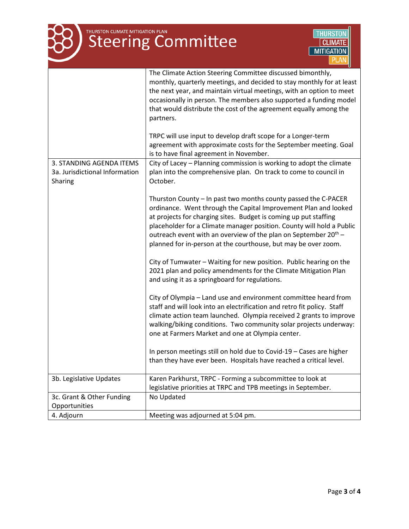# THURSTON CLIMATE MITIGATION PLAN



|                                                                       | The Climate Action Steering Committee discussed bimonthly,<br>monthly, quarterly meetings, and decided to stay monthly for at least<br>the next year, and maintain virtual meetings, with an option to meet<br>occasionally in person. The members also supported a funding model<br>that would distribute the cost of the agreement equally among the<br>partners.<br>TRPC will use input to develop draft scope for a Longer-term |
|-----------------------------------------------------------------------|-------------------------------------------------------------------------------------------------------------------------------------------------------------------------------------------------------------------------------------------------------------------------------------------------------------------------------------------------------------------------------------------------------------------------------------|
|                                                                       | agreement with approximate costs for the September meeting. Goal<br>is to have final agreement in November.                                                                                                                                                                                                                                                                                                                         |
| 3. STANDING AGENDA ITEMS<br>3a. Jurisdictional Information<br>Sharing | City of Lacey - Planning commission is working to adopt the climate<br>plan into the comprehensive plan. On track to come to council in<br>October.                                                                                                                                                                                                                                                                                 |
|                                                                       | Thurston County - In past two months county passed the C-PACER<br>ordinance. Went through the Capital Improvement Plan and looked<br>at projects for charging sites. Budget is coming up put staffing<br>placeholder for a Climate manager position. County will hold a Public<br>outreach event with an overview of the plan on September $20^{th}$ –<br>planned for in-person at the courthouse, but may be over zoom.            |
|                                                                       | City of Tumwater - Waiting for new position. Public hearing on the<br>2021 plan and policy amendments for the Climate Mitigation Plan<br>and using it as a springboard for regulations.                                                                                                                                                                                                                                             |
|                                                                       | City of Olympia – Land use and environment committee heard from<br>staff and will look into an electrification and retro fit policy. Staff<br>climate action team launched. Olympia received 2 grants to improve<br>walking/biking conditions. Two community solar projects underway:<br>one at Farmers Market and one at Olympia center.                                                                                           |
|                                                                       | In person meetings still on hold due to Covid-19 - Cases are higher<br>than they have ever been. Hospitals have reached a critical level.                                                                                                                                                                                                                                                                                           |
| 3b. Legislative Updates                                               | Karen Parkhurst, TRPC - Forming a subcommittee to look at<br>legislative priorities at TRPC and TPB meetings in September.                                                                                                                                                                                                                                                                                                          |
| 3c. Grant & Other Funding<br>Opportunities                            | No Updated                                                                                                                                                                                                                                                                                                                                                                                                                          |
| 4. Adjourn                                                            | Meeting was adjourned at 5:04 pm.                                                                                                                                                                                                                                                                                                                                                                                                   |